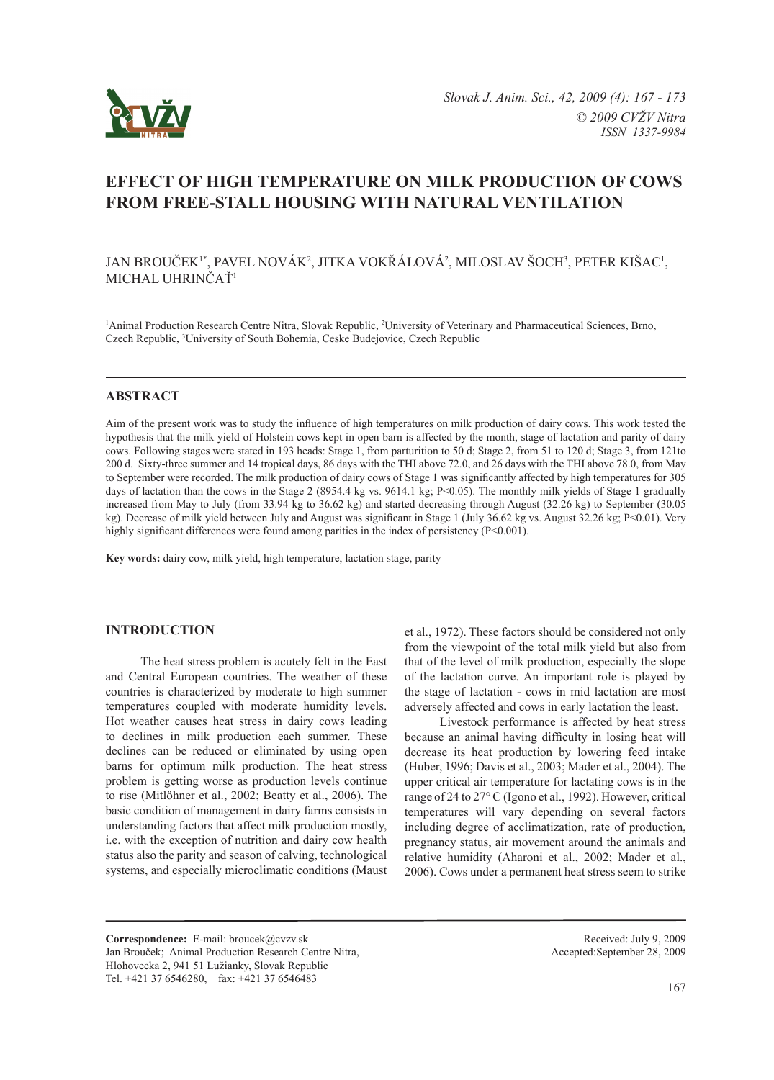

# **Effect of high temperature on milk production OF cows from free-stall housing with natural ventilation**

## JAN BROUČEK<sup>1\*</sup>, PAVEL NOVÁK<sup>2</sup>, JITKA VOKŘÁLOVÁ<sup>2</sup>, MILOSLAV ŠOCH<sup>3</sup>, PETER KIŠAC<sup>1</sup>, MICHAL UHRINČAŤ<sup>1</sup>

<sup>1</sup>Animal Production Research Centre Nitra, Slovak Republic, <sup>2</sup>University of Veterinary and Pharmaceutical Sciences, Brno, Czech Republic, 3 University of South Bohemia, Ceske Budejovice, Czech Republic

### **ABSTRACT**

Aim of the present work was to study the influence of high temperatures on milk production of dairy cows. This work tested the hypothesis that the milk yield of Holstein cows kept in open barn is affected by the month, stage of lactation and parity of dairy cows. Following stages were stated in 193 heads: Stage 1, from parturition to 50 d; Stage 2, from 51 to 120 d; Stage 3, from 121to 200 d. Sixty-three summer and 14 tropical days, 86 days with the THI above 72.0, and 26 days with the THI above 78.0, from May to September were recorded. The milk production of dairy cows of Stage 1 was significantly affected by high temperatures for 305 days of lactation than the cows in the Stage 2 (8954.4 kg vs. 9614.1 kg; P<0.05). The monthly milk yields of Stage 1 gradually increased from May to July (from 33.94 kg to 36.62 kg) and started decreasing through August (32.26 kg) to September (30.05 kg). Decrease of milk yield between July and August was significant in Stage 1 (July 36.62 kg vs. August 32.26 kg; P<0.01). Very highly significant differences were found among parities in the index of persistency (P<0.001).

**Key words:** dairy cow, milk yield, high temperature, lactation stage, parity

### **Introduction**

The heat stress problem is acutely felt in the East and Central European countries. The weather of these countries is characterized by moderate to high summer temperatures coupled with moderate humidity levels. Hot weather causes heat stress in dairy cows leading to declines in milk production each summer. These declines can be reduced or eliminated by using open barns for optimum milk production. The heat stress problem is getting worse as production levels continue to rise (Mitlöhner et al., 2002; Beatty et al., 2006). The basic condition of management in dairy farms consists in understanding factors that affect milk production mostly, i.e. with the exception of nutrition and dairy cow health status also the parity and season of calving, technological systems, and especially microclimatic conditions (Maust

et al., 1972). These factors should be considered not only from the viewpoint of the total milk yield but also from that of the level of milk production, especially the slope of the lactation curve. An important role is played by the stage of lactation - cows in mid lactation are most adversely affected and cows in early lactation the least.

Livestock performance is affected by heat stress because an animal having difficulty in losing heat will decrease its heat production by lowering feed intake (Huber, 1996; Davis et al., 2003; Mader et al., 2004). The upper critical air temperature for lactating cows is in the range of 24 to 27° C (Igono et al., 1992). However, critical temperatures will vary depending on several factors including degree of acclimatization, rate of production, pregnancy status, air movement around the animals and relative humidity (Aharoni et al., 2002; Mader et al., 2006). Cows under a permanent heat stress seem to strike

**Correspondence:** E-mail: broucek@cvzv.sk Jan Brouček; Animal Production Research Centre Nitra, Hlohovecka 2, 941 51 Lužianky, Slovak Republic Tel. +421 37 6546280, fax: +421 37 6546483

Received: July 9, 2009 Accepted:September 28, 2009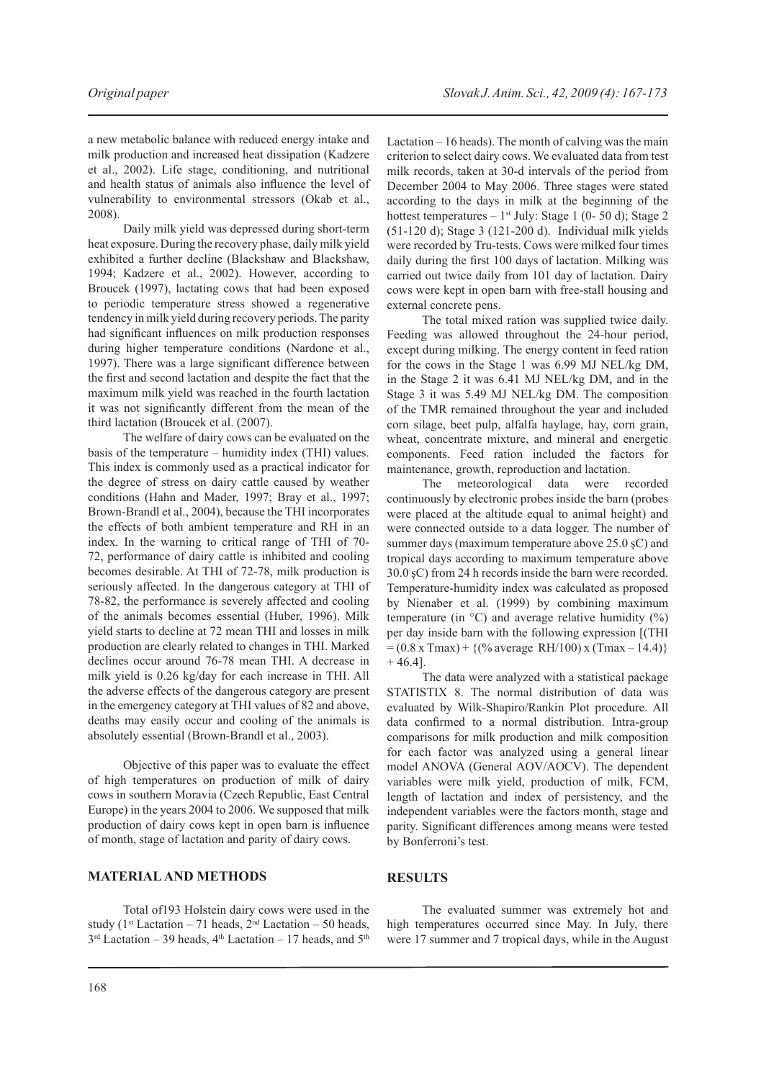a new metabolic balance with reduced energy intake and milk production and increased heat dissipation (Kadzere et al., 2002). Life stage, conditioning, and nutritional and health status of animals also influence the level of vulnerability to environmental stressors (Okab et al., 2008).

Daily milk yield was depressed during short-term heat exposure. During the recovery phase, daily milk yield exhibited a further decline (Blackshaw and Blackshaw, 1994; Kadzere et al., 2002). However, according to Broucek (1997), lactating cows that had been exposed to periodic temperature stress showed a regenerative tendency in milk yield during recovery periods. The parity had significant influences on milk production responses during higher temperature conditions (Nardone et al., 1997). There was a large significant difference between the first and second lactation and despite the fact that the maximum milk yield was reached in the fourth lactation it was not significantly different from the mean of the third lactation (Broucek et al. (2007).

The welfare of dairy cows can be evaluated on the basis of the temperature – humidity index (THI) values. This index is commonly used as a practical indicator for the degree of stress on dairy cattle caused by weather conditions (Hahn and Mader, 1997; Bray et al., 1997; Brown-Brandl et al., 2004), because the THI incorporates the effects of both ambient temperature and RH in an index. In the warning to critical range of THI of 70- 72, performance of dairy cattle is inhibited and cooling becomes desirable. At THI of 72-78, milk production is seriously affected. In the dangerous category at THI of 78-82, the performance is severely affected and cooling of the animals becomes essential (Huber, 1996). Milk yield starts to decline at 72 mean THI and losses in milk production are clearly related to changes in THI. Marked declines occur around 76-78 mean THI. A decrease in milk yield is 0.26 kg/day for each increase in THI. All the adverse effects of the dangerous category are present in the emergency category at THI values of 82 and above, deaths may easily occur and cooling of the animals is absolutely essential (Brown-Brandl et al., 2003).

Objective of this paper was to evaluate the effect of high temperatures on production of milk of dairy cows in southern Moravia (Czech Republic, East Central Europe) in the years 2004 to 2006. We supposed that milk production of dairy cows kept in open barn is influence of month, stage of lactation and parity of dairy cows.

# **Material and methods**

Total of193 Holstein dairy cows were used in the study (1<sup>st</sup> Lactation – 71 heads,  $2<sup>nd</sup>$  Lactation – 50 heads,  $3<sup>rd</sup>$  Lactation – 39 heads,  $4<sup>th</sup>$  Lactation – 17 heads, and  $5<sup>th</sup>$ 

Lactation – 16 heads). The month of calving was the main criterion to select dairy cows. We evaluated data from test milk records, taken at 30-d intervals of the period from December 2004 to May 2006. Three stages were stated according to the days in milk at the beginning of the hottest temperatures  $-1$ <sup>st</sup> July: Stage 1 (0- 50 d); Stage 2 (51-120 d); Stage 3 (121-200 d). Individual milk yields were recorded by Tru-tests. Cows were milked four times daily during the first 100 days of lactation. Milking was carried out twice daily from 101 day of lactation. Dairy cows were kept in open barn with free-stall housing and external concrete pens.

The total mixed ration was supplied twice daily. Feeding was allowed throughout the 24-hour period, except during milking. The energy content in feed ration for the cows in the Stage 1 was 6.99 MJ NEL/kg DM, in the Stage 2 it was 6.41 MJ NEL/kg DM, and in the Stage 3 it was 5.49 MJ NEL/kg DM. The composition of the TMR remained throughout the year and included corn silage, beet pulp, alfalfa haylage, hay, corn grain, wheat, concentrate mixture, and mineral and energetic components. Feed ration included the factors for maintenance, growth, reproduction and lactation.

The meteorological data were recorded continuously by electronic probes inside the barn (probes were placed at the altitude equal to animal height) and were connected outside to a data logger. The number of summer days (maximum temperature above 25.0  $\S$ C) and tropical days according to maximum temperature above 30.0 şC) from 24 h records inside the barn were recorded. Temperature-humidity index was calculated as proposed by Nienaber et al. (1999) by combining maximum temperature (in  $\degree$ C) and average relative humidity ( $\degree$ ) per day inside barn with the following expression [(THI  $= (0.8 \text{ x} \text{ Tmax}) + \{(% \text{ average RH}/100) \text{ x} \text{ (Tmax} - 14.4)\}$  $+ 46.41$ .

The data were analyzed with a statistical package STATISTIX 8. The normal distribution of data was evaluated by Wilk-Shapiro/Rankin Plot procedure. All data confirmed to a normal distribution. Intra-group comparisons for milk production and milk composition for each factor was analyzed using a general linear model ANOVA (General AOV/AOCV). The dependent variables were milk yield, production of milk, FCM, length of lactation and index of persistency, and the independent variables were the factors month, stage and parity. Significant differences among means were tested by Bonferroni's test.

### **Results**

The evaluated summer was extremely hot and high temperatures occurred since May. In July, there were 17 summer and 7 tropical days, while in the August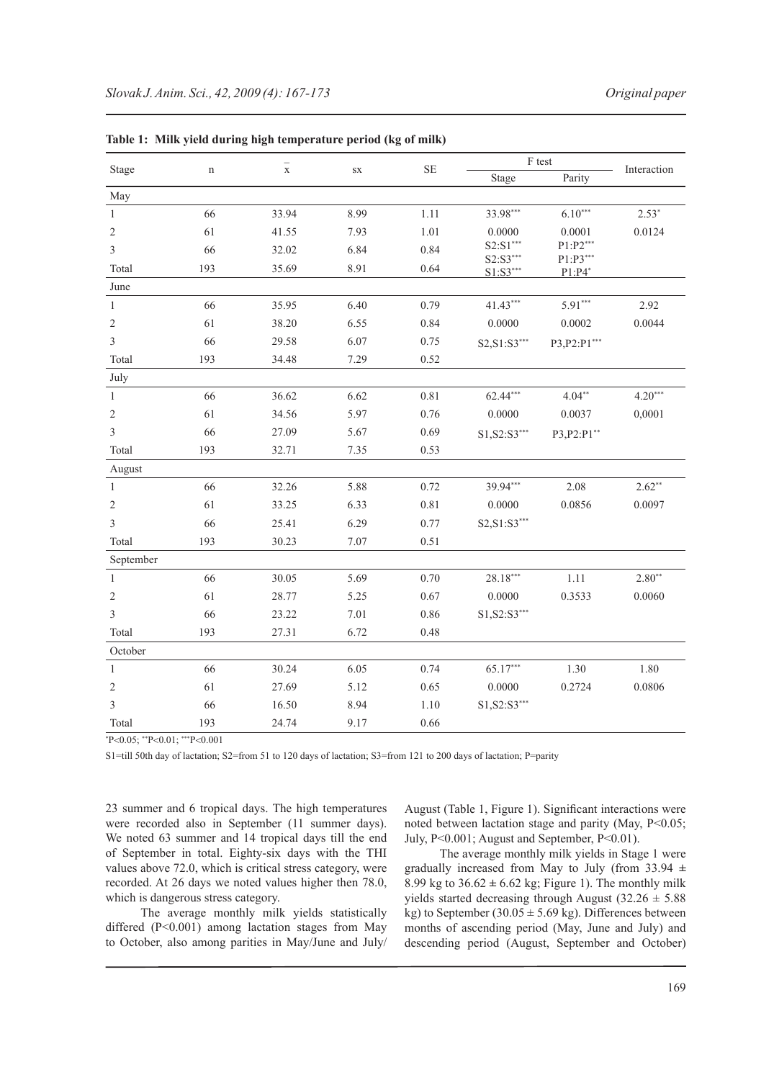| Stage          | $\mathbf n$ | $\frac{-}{x}$ | SX   | $\rm SE$ | F test                 |                         |             |
|----------------|-------------|---------------|------|----------|------------------------|-------------------------|-------------|
|                |             |               |      |          | Stage                  | Parity                  | Interaction |
| May            |             |               |      |          |                        |                         |             |
| 1              | 66          | 33.94         | 8.99 | 1.11     | 33.98***               | $6.10***$               | $2.53*$     |
| $\sqrt{2}$     | 61          | 41.55         | 7.93 | 1.01     | 0.0000                 | 0.0001                  | 0.0124      |
| $\mathfrak{Z}$ | 66          | 32.02         | 6.84 | 0.84     | $S2: S1***$            | $P1: P2***$<br>P1:P3*** |             |
| Total          | 193         | 35.69         | 8.91 | 0.64     | S2:S3***<br>$S1:SS***$ | $P1: P4$ *              |             |
| June           |             |               |      |          |                        |                         |             |
| $\mathbf{1}$   | 66          | 35.95         | 6.40 | 0.79     | 41.43***               | $5.91***$               | 2.92        |
| $\mathfrak{2}$ | 61          | 38.20         | 6.55 | 0.84     | 0.0000                 | 0.0002                  | 0.0044      |
| $\mathfrak{Z}$ | 66          | 29.58         | 6.07 | 0.75     | S2, S1: S3***          | P3, P2: P1***           |             |
| Total          | 193         | 34.48         | 7.29 | 0.52     |                        |                         |             |
| July           |             |               |      |          |                        |                         |             |
| $\mathbf{1}$   | 66          | 36.62         | 6.62 | 0.81     | 62.44***               | $4.04***$               | $4.20***$   |
| $\overline{2}$ | 61          | 34.56         | 5.97 | 0.76     | 0.0000                 | 0.0037                  | 0,0001      |
| $\mathfrak{Z}$ | 66          | 27.09         | 5.67 | 0.69     | S1, S2: S3***          | P3, P2: P1**            |             |
| Total          | 193         | 32.71         | 7.35 | 0.53     |                        |                         |             |
| August         |             |               |      |          |                        |                         |             |
| $\mathbf{1}$   | 66          | 32.26         | 5.88 | 0.72     | 39.94***               | 2.08                    | $2.62**$    |
| $\overline{2}$ | 61          | 33.25         | 6.33 | 0.81     | 0.0000                 | 0.0856                  | 0.0097      |
| $\overline{3}$ | 66          | 25.41         | 6.29 | 0.77     | S2, S1: S3***          |                         |             |
| Total          | 193         | 30.23         | 7.07 | 0.51     |                        |                         |             |
| September      |             |               |      |          |                        |                         |             |
| $\mathbf{1}$   | 66          | 30.05         | 5.69 | 0.70     | $28.18***$             | 1.11                    | $2.80**$    |
| $\overline{2}$ | 61          | 28.77         | 5.25 | 0.67     | 0.0000                 | 0.3533                  | 0.0060      |
| $\mathfrak{Z}$ | 66          | 23.22         | 7.01 | 0.86     | $S1, S2: S3***$        |                         |             |
| Total          | 193         | 27.31         | 6.72 | 0.48     |                        |                         |             |
| October        |             |               |      |          |                        |                         |             |
| $\mathbf{1}$   | 66          | 30.24         | 6.05 | 0.74     | 65.17***               | 1.30                    | 1.80        |
| $\overline{2}$ | 61          | 27.69         | 5.12 | 0.65     | 0.0000                 | 0.2724                  | 0.0806      |
| $\mathfrak{Z}$ | 66          | 16.50         | 8.94 | 1.10     | $S1, S2: S3***$        |                         |             |
| Total          | 193         | 24.74         | 9.17 | 0.66     |                        |                         |             |

**Table 1: Milk yield during high temperature period (kg of milk)**

\* P<0.05; \*\*P<0.01; \*\*\*P<0.001

S1=till 50th day of lactation; S2=from 51 to 120 days of lactation; S3=from 121 to 200 days of lactation; P=parity

23 summer and 6 tropical days. The high temperatures were recorded also in September (11 summer days). We noted 63 summer and 14 tropical days till the end of September in total. Eighty-six days with the THI values above 72.0, which is critical stress category, were recorded. At 26 days we noted values higher then 78.0, which is dangerous stress category.

The average monthly milk yields statistically differed (P<0.001) among lactation stages from May to October, also among parities in May/June and July/

August (Table 1, Figure 1). Significant interactions were noted between lactation stage and parity (May,  $P < 0.05$ ; July, P<0.001; August and September, P<0.01).

The average monthly milk yields in Stage 1 were gradually increased from May to July (from 33.94 **±**  8.99 kg to  $36.62 \pm 6.62$  kg; Figure 1). The monthly milk yields started decreasing through August  $(32.26 \pm 5.88)$ kg) to September (30.05  $\pm$  5.69 kg). Differences between months of ascending period (May, June and July) and descending period (August, September and October)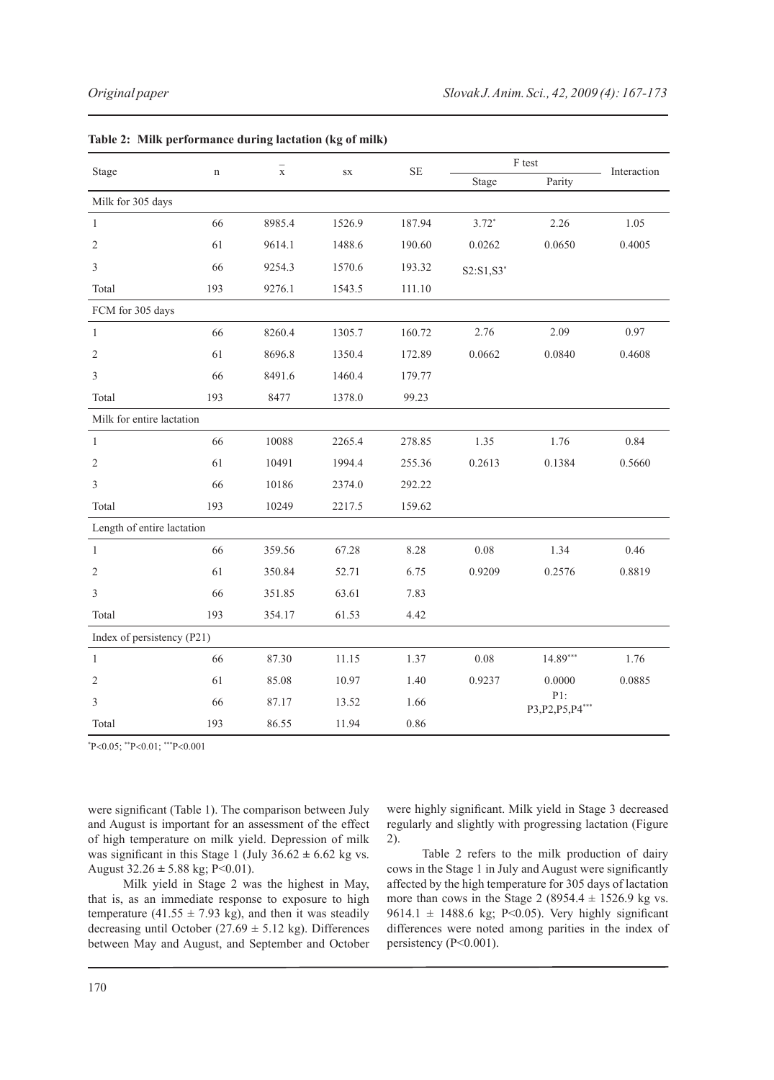| Stage                      |             | $_\mathrm{x}^-$ |            | $\rm SE$ | F test         |                          |             |  |
|----------------------------|-------------|-----------------|------------|----------|----------------|--------------------------|-------------|--|
|                            | $\mathbf n$ |                 | ${\rm SX}$ |          | Stage          | Parity                   | Interaction |  |
| Milk for 305 days          |             |                 |            |          |                |                          |             |  |
| $\mathbf{1}$               | 66          | 8985.4          | 1526.9     | 187.94   | $3.72*$        | 2.26                     | 1.05        |  |
| $\overline{2}$             | 61          | 9614.1          | 1488.6     | 190.60   | 0.0262         | 0.0650                   | 0.4005      |  |
| $\mathfrak{Z}$             | 66          | 9254.3          | 1570.6     | 193.32   | $S2: S1, S3^*$ |                          |             |  |
| Total                      | 193         | 9276.1          | 1543.5     | 111.10   |                |                          |             |  |
| FCM for 305 days           |             |                 |            |          |                |                          |             |  |
| 1                          | 66          | 8260.4          | 1305.7     | 160.72   | 2.76           | 2.09                     | 0.97        |  |
| $\overline{2}$             | 61          | 8696.8          | 1350.4     | 172.89   | 0.0662         | 0.0840                   | 0.4608      |  |
| $\mathfrak{Z}$             | 66          | 8491.6          | 1460.4     | 179.77   |                |                          |             |  |
| Total                      | 193         | 8477            | 1378.0     | 99.23    |                |                          |             |  |
| Milk for entire lactation  |             |                 |            |          |                |                          |             |  |
| $\mathbf{1}$               | 66          | 10088           | 2265.4     | 278.85   | 1.35           | 1.76                     | 0.84        |  |
| $\overline{2}$             | 61          | 10491           | 1994.4     | 255.36   | 0.2613         | 0.1384                   | 0.5660      |  |
| $\mathfrak{Z}$             | 66          | 10186           | 2374.0     | 292.22   |                |                          |             |  |
| Total                      | 193         | 10249           | 2217.5     | 159.62   |                |                          |             |  |
| Length of entire lactation |             |                 |            |          |                |                          |             |  |
| $\mathbf{1}$               | 66          | 359.56          | 67.28      | 8.28     | 0.08           | 1.34                     | 0.46        |  |
| $\overline{2}$             | 61          | 350.84          | 52.71      | 6.75     | 0.9209         | 0.2576                   | 0.8819      |  |
| $\mathfrak{Z}$             | 66          | 351.85          | 63.61      | 7.83     |                |                          |             |  |
| Total                      | 193         | 354.17          | 61.53      | 4.42     |                |                          |             |  |
| Index of persistency (P21) |             |                 |            |          |                |                          |             |  |
| $\mathbf{1}$               | 66          | 87.30           | 11.15      | 1.37     | 0.08           | $14.89***$               | 1.76        |  |
| $\overline{2}$             | 61          | 85.08           | 10.97      | 1.40     | 0.9237         | 0.0000                   | 0.0885      |  |
| 3                          | 66          | 87.17           | 13.52      | 1.66     |                | P1:<br>P3, P2, P5, P4*** |             |  |
| Total                      | 193         | 86.55           | 11.94      | 0.86     |                |                          |             |  |

|  |  | Table 2: Milk performance during lactation (kg of milk) |  |  |  |  |
|--|--|---------------------------------------------------------|--|--|--|--|
|--|--|---------------------------------------------------------|--|--|--|--|

\* P<0.05; \*\*P<0.01; \*\*\*P<0.001

were significant (Table 1). The comparison between July and August is important for an assessment of the effect of high temperature on milk yield. Depression of milk was significant in this Stage 1 (July 36.62 **±** 6.62 kg vs. August 32.26 **±** 5.88 kg; P<0.01).

Milk yield in Stage 2 was the highest in May, that is, as an immediate response to exposure to high temperature (41.55  $\pm$  7.93 kg), and then it was steadily decreasing until October ( $27.69 \pm 5.12$  kg). Differences between May and August, and September and October

were highly significant. Milk yield in Stage 3 decreased regularly and slightly with progressing lactation (Figure 2).

Table 2 refers to the milk production of dairy cows in the Stage 1 in July and August were significantly affected by the high temperature for 305 days of lactation more than cows in the Stage 2 (8954.4  $\pm$  1526.9 kg vs. 9614.1  $\pm$  1488.6 kg; P<0.05). Very highly significant differences were noted among parities in the index of persistency (P<0.001).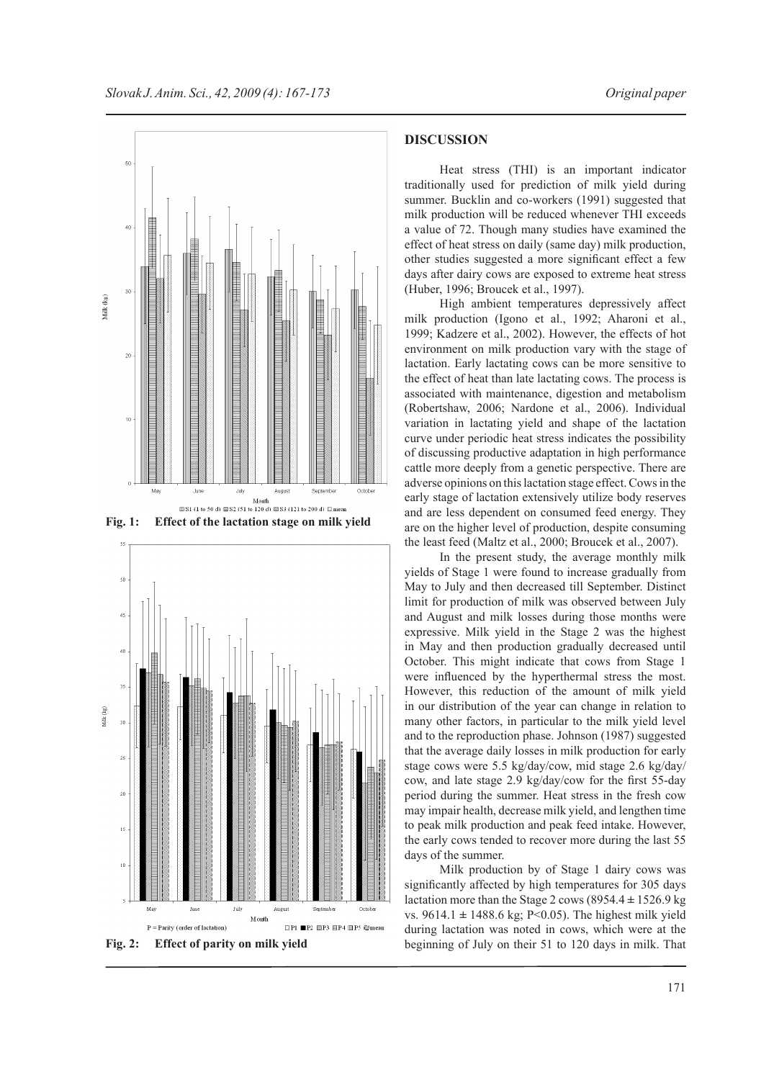

**Fig. 1: Effect of the lactation stage on milk yield**



**Fig. 2: Effect of parity on milk yield**

#### **discussion**

Heat stress (THI) is an important indicator traditionally used for prediction of milk yield during summer. Bucklin and co-workers (1991) suggested that milk production will be reduced whenever THI exceeds a value of 72. Though many studies have examined the effect of heat stress on daily (same day) milk production, other studies suggested a more significant effect a few days after dairy cows are exposed to extreme heat stress (Huber, 1996; Broucek et al., 1997).

High ambient temperatures depressively affect milk production (Igono et al., 1992; Aharoni et al., 1999; Kadzere et al., 2002). However, the effects of hot environment on milk production vary with the stage of lactation. Early lactating cows can be more sensitive to the effect of heat than late lactating cows. The process is associated with maintenance, digestion and metabolism (Robertshaw, 2006; Nardone et al., 2006). Individual variation in lactating yield and shape of the lactation curve under periodic heat stress indicates the possibility of discussing productive adaptation in high performance cattle more deeply from a genetic perspective. There are adverse opinions on this lactation stage effect. Cows in the early stage of lactation extensively utilize body reserves and are less dependent on consumed feed energy. They are on the higher level of production, despite consuming the least feed (Maltz et al., 2000; Broucek et al., 2007).

In the present study, the average monthly milk yields of Stage 1 were found to increase gradually from May to July and then decreased till September. Distinct limit for production of milk was observed between July and August and milk losses during those months were expressive. Milk yield in the Stage 2 was the highest in May and then production gradually decreased until October. This might indicate that cows from Stage 1 were influenced by the hyperthermal stress the most. However, this reduction of the amount of milk yield in our distribution of the year can change in relation to many other factors, in particular to the milk yield level and to the reproduction phase. Johnson (1987) suggested that the average daily losses in milk production for early stage cows were 5.5 kg/day/cow, mid stage 2.6 kg/day/ cow, and late stage 2.9 kg/day/cow for the first 55-day period during the summer. Heat stress in the fresh cow may impair health, decrease milk yield, and lengthen time to peak milk production and peak feed intake. However, the early cows tended to recover more during the last 55 days of the summer.

Milk production by of Stage 1 dairy cows was significantly affected by high temperatures for 305 days lactation more than the Stage 2 cows (8954.4 **±** 1526.9 kg vs. 9614.1 **±** 1488.6 kg; P<0.05). The highest milk yield during lactation was noted in cows, which were at the beginning of July on their 51 to 120 days in milk. That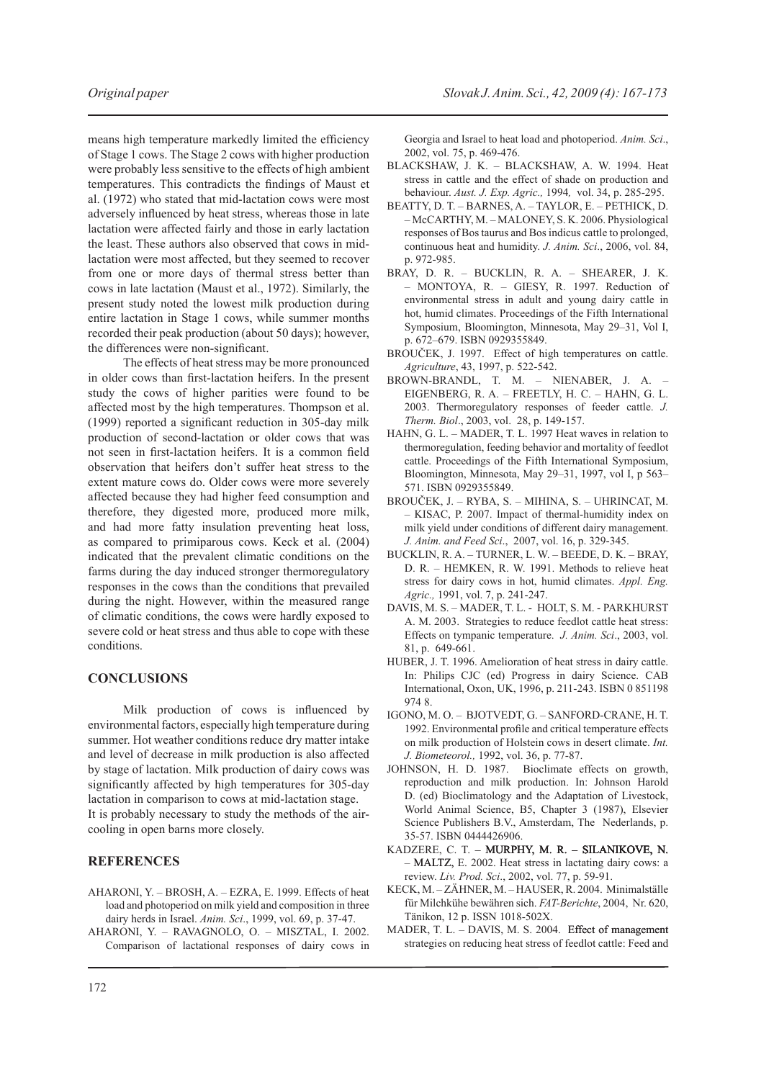means high temperature markedly limited the efficiency of Stage 1 cows. The Stage 2 cows with higher production were probably less sensitive to the effects of high ambient temperatures. This contradicts the findings of Maust et al. (1972) who stated that mid-lactation cows were most adversely influenced by heat stress, whereas those in late lactation were affected fairly and those in early lactation the least. These authors also observed that cows in midlactation were most affected, but they seemed to recover from one or more days of thermal stress better than cows in late lactation (Maust et al., 1972). Similarly, the present study noted the lowest milk production during entire lactation in Stage 1 cows, while summer months recorded their peak production (about 50 days); however, the differences were non-significant.

The effects of heat stress may be more pronounced in older cows than first-lactation heifers. In the present study the cows of higher parities were found to be affected most by the high temperatures. Thompson et al. (1999) reported a significant reduction in 305-day milk production of second-lactation or older cows that was not seen in first-lactation heifers. It is a common field observation that heifers don't suffer heat stress to the extent mature cows do. Older cows were more severely affected because they had higher feed consumption and therefore, they digested more, produced more milk, and had more fatty insulation preventing heat loss, as compared to primiparous cows. Keck et al. (2004) indicated that the prevalent climatic conditions on the farms during the day induced stronger thermoregulatory responses in the cows than the conditions that prevailed during the night. However, within the measured range of climatic conditions, the cows were hardly exposed to severe cold or heat stress and thus able to cope with these conditions.

### **Conclusions**

Milk production of cows is influenced by environmental factors, especially high temperature during summer. Hot weather conditions reduce dry matter intake and level of decrease in milk production is also affected by stage of lactation. Milk production of dairy cows was significantly affected by high temperatures for 305-day lactation in comparison to cows at mid-lactation stage. It is probably necessary to study the methods of the aircooling in open barns more closely.

### **References**

- Aharoni, Y. Brosh, A. Ezra, E. 1999. Effects of heat load and photoperiod on milk yield and composition in three dairy herds in Israel. *Anim. Sci*., 1999, vol. 69, p. 37-47.
- Aharoni, Y. Ravagnolo, O. Misztal, I. 2002. Comparison of lactational responses of dairy cows in

Georgia and Israel to heat load and photoperiod. *Anim. Sci*., 2002, vol. 75, p. 469-476.

- Blackshaw, J. K. Blackshaw, A. W. 1994. Heat stress in cattle and the effect of shade on production and behaviour. *Aust. J. Exp. Agric.,* 1994*,* vol. 34, p. 285-295.
- Beatty, D. T. Barnes, A. Taylor, E. Pethick, D. – McCarthy, M. – Maloney, S. K. 2006. Physiological responses of Bos taurus and Bos indicus cattle to prolonged, continuous heat and humidity. *J. Anim. Sci*., 2006, vol. 84, p. 972-985.
- Bray, D. R. Bucklin, R. A. Shearer, J. K. – Montoya, R. – Giesy, R. 1997. Reduction of environmental stress in adult and young dairy cattle in hot, humid climates. Proceedings of the Fifth International Symposium, Bloomington, Minnesota, May 29–31, Vol I, p. 672–679. ISBN 0929355849.
- BROUČEK, J. 1997. Effect of high temperatures on cattle. *Agriculture*, 43, 1997, p. 522-542.
- Brown-Brandl, T. M. Nienaber, J. A. Eigenberg, R. A. – Freetly, H. C. – Hahn, G. L. 2003. Thermoregulatory responses of feeder cattle. *J. Therm. Biol*., 2003, vol. 28, p. 149-157.
- HAHN, G. L. MADER, T. L. 1997 Heat waves in relation to thermoregulation, feeding behavior and mortality of feedlot cattle. Proceedings of the Fifth International Symposium, Bloomington, Minnesota, May 29–31, 1997, vol I, p 563– 571. ISBN 0929355849.
- Brouček, J. Ryba, S. Mihina, S. Uhrincat, M. – Kisac, P. 2007. Impact of thermal-humidity index on milk yield under conditions of different dairy management. *J. Anim. and Feed Sci*., 2007, vol. 16, p. 329-345.
- Bucklin, R. A. Turner, L. W. Beede, D. K. Bray, D. R. – Hemken, R. W. 1991. Methods to relieve heat stress for dairy cows in hot, humid climates. *Appl. Eng. Agric.,* 1991, vol. 7, p. 241-247.
- Davis, M. S. Mader, T. L. Holt, S. M. Parkhurst A. M. 2003. Strategies to reduce feedlot cattle heat stress: Effects on tympanic temperature. *J. Anim. Sci*., 2003, vol. 81, p. 649-661.
- HUBER, J. T. 1996. Amelioration of heat stress in dairy cattle. In: Philips CJC (ed) Progress in dairy Science. CAB International, Oxon, UK, 1996, p. 211-243. ISBN 0 851198 974 8.
- Igono, M. O. Bjotvedt, G. Sanford-Crane, H. T. 1992. Environmental profile and critical temperature effects on milk production of Holstein cows in desert climate. *Int. J. Biometeorol.,* 1992, vol. 36, p. 77-87.
- JOHNSON, H. D. 1987. Bioclimate effects on growth, reproduction and milk production. In: Johnson Harold D. (ed) Bioclimatology and the Adaptation of Livestock, World Animal Science, B5, Chapter 3 (1987), Elsevier Science Publishers B.V., Amsterdam, The Nederlands, p. 35-57. ISBN 0444426906.
- KADZERE, C. T. MURPHY, M. R. SILANIKOVE, N. - MALTZ, E. 2002. Heat stress in lactating dairy cows: a review. *Liv. Prod. Sci*., 2002, vol. 77, p. 59-91.
- Keck, M. Zähner, M. Hauser, R. 2004. Minimalställe für Milchkühe bewähren sich. *FAT-Berichte*, 2004, Nr. 620, Tänikon, 12 p. ISSN 1018-502X.
- MADER, T. L. DAVIS, M. S. 2004. Effect of management strategies on reducing heat stress of feedlot cattle: Feed and